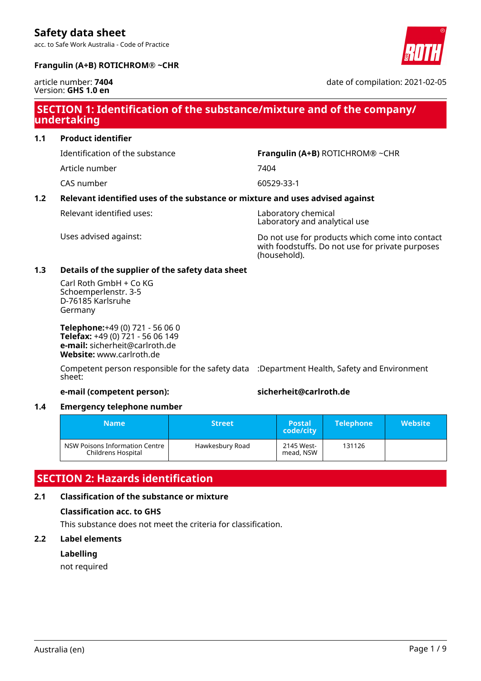acc. to Safe Work Australia - Code of Practice



#### **Frangulin (A+B) ROTICHROM® ~CHR**

#### article number: **7404** Version: **GHS 1.0 en**

date of compilation: 2021-02-05

### **SECTION 1: Identification of the substance/mixture and of the company/ undertaking**

**1.1 Product identifier**

Identification of the substance **Frangulin (A+B)** ROTICHROM® ~CHR

Article number 7404

CAS number 60529-33-1

#### **1.2 Relevant identified uses of the substance or mixture and uses advised against**

Relevant identified uses: Laboratory chemical

Laboratory and analytical use

Uses advised against: Do not use for products which come into contact with foodstuffs. Do not use for private purposes (household).

#### **1.3 Details of the supplier of the safety data sheet**

Carl Roth GmbH + Co KG Schoemperlenstr. 3-5 D-76185 Karlsruhe Germany

**Telephone:**+49 (0) 721 - 56 06 0 **Telefax:** +49 (0) 721 - 56 06 149 **e-mail:** sicherheit@carlroth.de **Website:** www.carlroth.de

Competent person responsible for the safety data :Department Health, Safety and Environment sheet:

#### **e-mail (competent person): sicherheit@carlroth.de**

#### **1.4 Emergency telephone number**

| <b>Name</b>                                          | <b>Street</b>   | <b>Postal</b><br>code/city | <b>Telephone</b> | <b>Website</b> |
|------------------------------------------------------|-----------------|----------------------------|------------------|----------------|
| NSW Poisons Information Centre<br>Childrens Hospital | Hawkesbury Road | 2145 West-<br>mead, NSW    | 131126           |                |

## **SECTION 2: Hazards identification**

#### **2.1 Classification of the substance or mixture**

#### **Classification acc. to GHS**

This substance does not meet the criteria for classification.

#### **2.2 Label elements**

#### **Labelling**

not required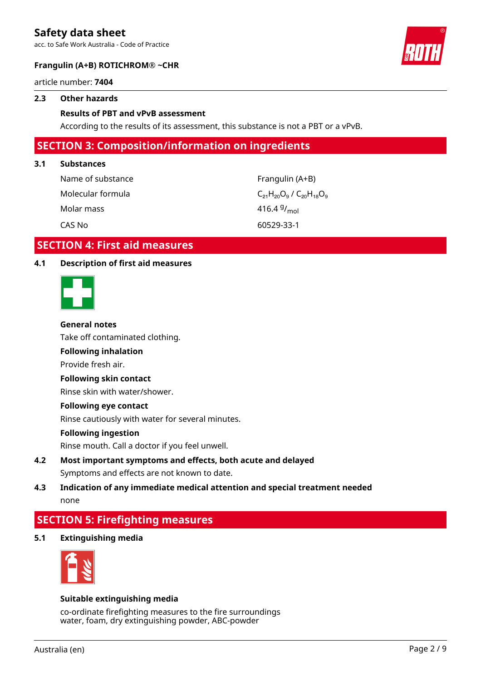acc. to Safe Work Australia - Code of Practice



#### **Frangulin (A+B) ROTICHROM® ~CHR**

article number: **7404**

#### **2.3 Other hazards**

#### **Results of PBT and vPvB assessment**

According to the results of its assessment, this substance is not a PBT or a vPvB.

### **SECTION 3: Composition/information on ingredients**

#### **3.1 Substances**

| Name of substance | Frangulin (A+B)                       |
|-------------------|---------------------------------------|
| Molecular formula | $C_{21}H_{20}O_9$ / $C_{20}H_{18}O_9$ |
| Molar mass        | 416.4 $9/_{\text{mol}}$               |
| CAS No            | 60529-33-1                            |

### **SECTION 4: First aid measures**

#### **4.1 Description of first aid measures**



#### **General notes**

Take off contaminated clothing.

### **Following inhalation**

Provide fresh air.

#### **Following skin contact**

Rinse skin with water/shower.

#### **Following eye contact**

Rinse cautiously with water for several minutes.

#### **Following ingestion**

Rinse mouth. Call a doctor if you feel unwell.

### **4.2 Most important symptoms and effects, both acute and delayed** Symptoms and effects are not known to date.

### **4.3 Indication of any immediate medical attention and special treatment needed** none

### **SECTION 5: Firefighting measures**

**5.1 Extinguishing media**



#### **Suitable extinguishing media**

co-ordinate firefighting measures to the fire surroundings water, foam, dry extinguishing powder, ABC-powder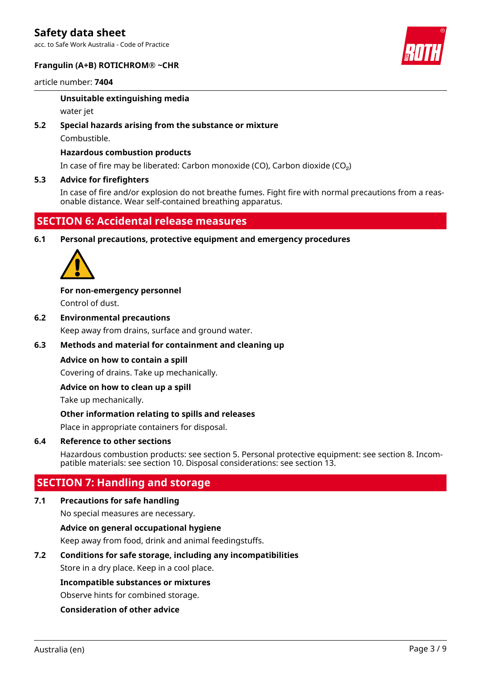acc. to Safe Work Australia - Code of Practice



#### **Frangulin (A+B) ROTICHROM® ~CHR**

#### article number: **7404**

### **Unsuitable extinguishing media**

water jet

#### **5.2 Special hazards arising from the substance or mixture**

Combustible.

#### **Hazardous combustion products**

In case of fire may be liberated: Carbon monoxide (CO), Carbon dioxide (CO₂)

#### **5.3 Advice for firefighters**

In case of fire and/or explosion do not breathe fumes. Fight fire with normal precautions from a reasonable distance. Wear self-contained breathing apparatus.

### **SECTION 6: Accidental release measures**

**6.1 Personal precautions, protective equipment and emergency procedures**



**For non-emergency personnel** Control of dust.

**6.2 Environmental precautions** Keep away from drains, surface and ground water.

#### **6.3 Methods and material for containment and cleaning up**

#### **Advice on how to contain a spill**

Covering of drains. Take up mechanically.

#### **Advice on how to clean up a spill**

Take up mechanically.

#### **Other information relating to spills and releases**

Place in appropriate containers for disposal.

#### **6.4 Reference to other sections**

Hazardous combustion products: see section 5. Personal protective equipment: see section 8. Incompatible materials: see section 10. Disposal considerations: see section 13.

### **SECTION 7: Handling and storage**

#### **7.1 Precautions for safe handling**

No special measures are necessary.

#### **Advice on general occupational hygiene**

Keep away from food, drink and animal feedingstuffs.

#### **7.2 Conditions for safe storage, including any incompatibilities**

Store in a dry place. Keep in a cool place.

#### **Incompatible substances or mixtures**

Observe hints for combined storage.

#### **Consideration of other advice**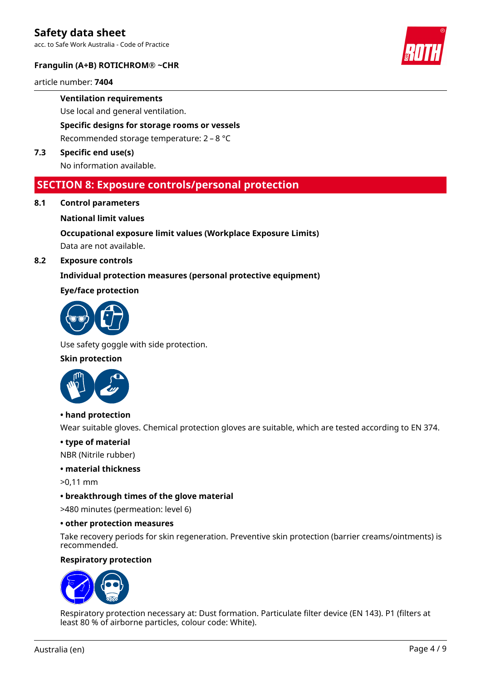acc. to Safe Work Australia - Code of Practice

#### **Frangulin (A+B) ROTICHROM® ~CHR**

article number: **7404**

**Ventilation requirements**

Use local and general ventilation.

**Specific designs for storage rooms or vessels**

Recommended storage temperature: 2 – 8 °C

**7.3 Specific end use(s)**

No information available.

### **SECTION 8: Exposure controls/personal protection**

**8.1 Control parameters**

#### **National limit values**

### **Occupational exposure limit values (Workplace Exposure Limits)**

Data are not available.

#### **8.2 Exposure controls**

#### **Individual protection measures (personal protective equipment)**

#### **Eye/face protection**



Use safety goggle with side protection.

#### **Skin protection**



#### **• hand protection**

Wear suitable gloves. Chemical protection gloves are suitable, which are tested according to EN 374.

#### **• type of material**

NBR (Nitrile rubber)

#### **• material thickness**

>0,11 mm

#### **• breakthrough times of the glove material**

>480 minutes (permeation: level 6)

#### **• other protection measures**

Take recovery periods for skin regeneration. Preventive skin protection (barrier creams/ointments) is recommended.

#### **Respiratory protection**



Respiratory protection necessary at: Dust formation. Particulate filter device (EN 143). P1 (filters at least 80 % of airborne particles, colour code: White).

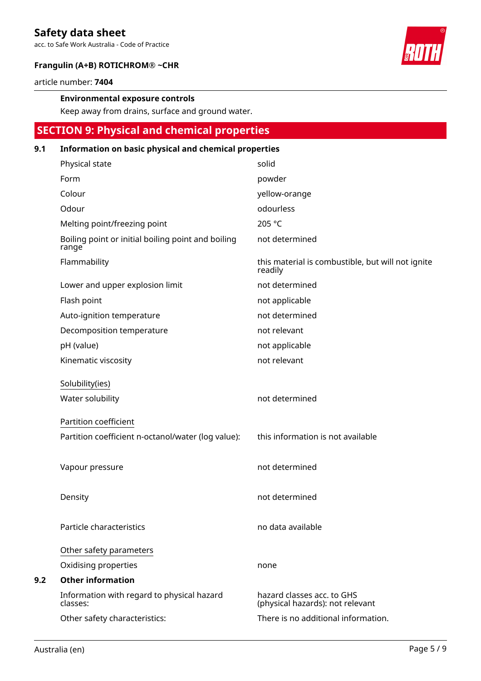acc. to Safe Work Australia - Code of Practice



#### **Frangulin (A+B) ROTICHROM® ~CHR**

article number: **7404**

#### **Environmental exposure controls**

Keep away from drains, surface and ground water.

# **SECTION 9: Physical and chemical properties**

#### **9.1 Information on basic physical and chemical properties**

| Physical state                                              | solid                                                          |
|-------------------------------------------------------------|----------------------------------------------------------------|
| Form                                                        | powder                                                         |
| Colour                                                      | yellow-orange                                                  |
| Odour                                                       | odourless                                                      |
| Melting point/freezing point                                | 205 °C                                                         |
| Boiling point or initial boiling point and boiling<br>range | not determined                                                 |
| Flammability                                                | this material is combustible, but will not ignite<br>readily   |
| Lower and upper explosion limit                             | not determined                                                 |
| Flash point                                                 | not applicable                                                 |
| Auto-ignition temperature                                   | not determined                                                 |
| Decomposition temperature                                   | not relevant                                                   |
| pH (value)                                                  | not applicable                                                 |
| Kinematic viscosity                                         | not relevant                                                   |
| Solubility(ies)<br>Water solubility                         | not determined                                                 |
| Partition coefficient                                       |                                                                |
| Partition coefficient n-octanol/water (log value):          | this information is not available                              |
| Vapour pressure                                             | not determined                                                 |
| Density                                                     | not determined                                                 |
| Particle characteristics                                    | no data available                                              |
| Other safety parameters                                     |                                                                |
| Oxidising properties                                        | none                                                           |
| <b>Other information</b>                                    |                                                                |
| Information with regard to physical hazard<br>classes:      | hazard classes acc. to GHS<br>(physical hazards): not relevant |
| Other safety characteristics:                               | There is no additional information.                            |

**9.2**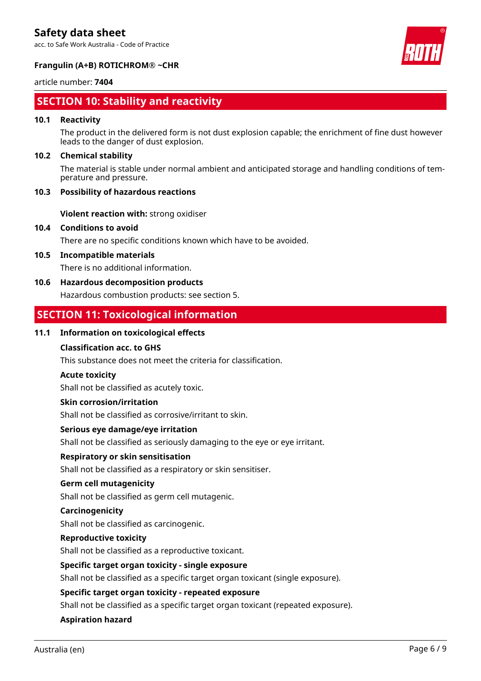acc. to Safe Work Australia - Code of Practice



#### **Frangulin (A+B) ROTICHROM® ~CHR**

#### article number: **7404**

### **SECTION 10: Stability and reactivity**

#### **10.1 Reactivity**

The product in the delivered form is not dust explosion capable; the enrichment of fine dust however leads to the danger of dust explosion.

#### **10.2 Chemical stability**

The material is stable under normal ambient and anticipated storage and handling conditions of temperature and pressure.

#### **10.3 Possibility of hazardous reactions**

**Violent reaction with:** strong oxidiser

#### **10.4 Conditions to avoid**

There are no specific conditions known which have to be avoided.

#### **10.5 Incompatible materials**

There is no additional information.

#### **10.6 Hazardous decomposition products**

Hazardous combustion products: see section 5.

### **SECTION 11: Toxicological information**

#### **11.1 Information on toxicological effects**

#### **Classification acc. to GHS**

This substance does not meet the criteria for classification.

#### **Acute toxicity**

Shall not be classified as acutely toxic.

#### **Skin corrosion/irritation**

Shall not be classified as corrosive/irritant to skin.

#### **Serious eye damage/eye irritation**

Shall not be classified as seriously damaging to the eye or eye irritant.

#### **Respiratory or skin sensitisation**

Shall not be classified as a respiratory or skin sensitiser.

#### **Germ cell mutagenicity**

Shall not be classified as germ cell mutagenic.

#### **Carcinogenicity**

Shall not be classified as carcinogenic.

#### **Reproductive toxicity**

Shall not be classified as a reproductive toxicant.

#### **Specific target organ toxicity - single exposure**

Shall not be classified as a specific target organ toxicant (single exposure).

#### **Specific target organ toxicity - repeated exposure**

Shall not be classified as a specific target organ toxicant (repeated exposure).

#### **Aspiration hazard**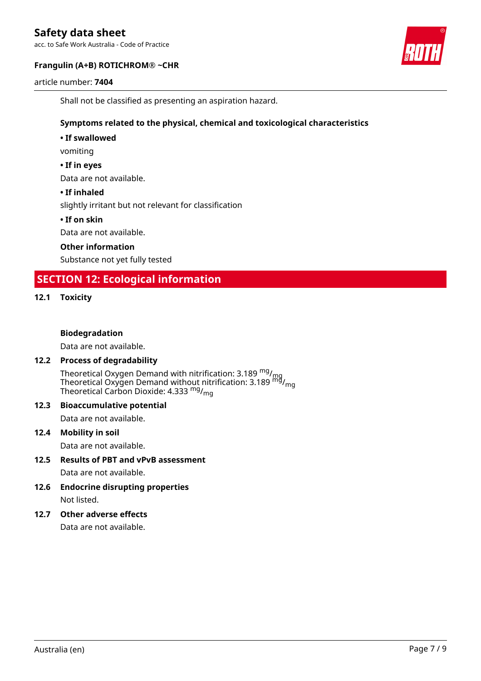acc. to Safe Work Australia - Code of Practice

#### **Frangulin (A+B) ROTICHROM® ~CHR**

article number: **7404**



Shall not be classified as presenting an aspiration hazard.

#### **Symptoms related to the physical, chemical and toxicological characteristics**

**• If swallowed**

vomiting

#### **• If in eyes**

Data are not available.

#### **• If inhaled**

slightly irritant but not relevant for classification

#### **• If on skin**

Data are not available.

#### **Other information**

Substance not yet fully tested

### **SECTION 12: Ecological information**

#### **12.1 Toxicity**

#### **Biodegradation**

Data are not available.

#### **12.2 Process of degradability**

Theoretical Oxygen Demand with nitrification: 3.189 <sup>mg</sup>/<sub>mg</sub> Theoretical Oxygen Demand without nitrification: 3.189  $^{\sf mfd}_{\sf mfg}$ Theoretical Carbon Dioxide: 4.333 <sup>mg</sup>/<sub>mg</sub>

# **12.3 Bioaccumulative potential**

Data are not available.

#### **12.4 Mobility in soil**

Data are not available.

- **12.5 Results of PBT and vPvB assessment** Data are not available.
- **12.6 Endocrine disrupting properties** Not listed.
- **12.7 Other adverse effects**

Data are not available.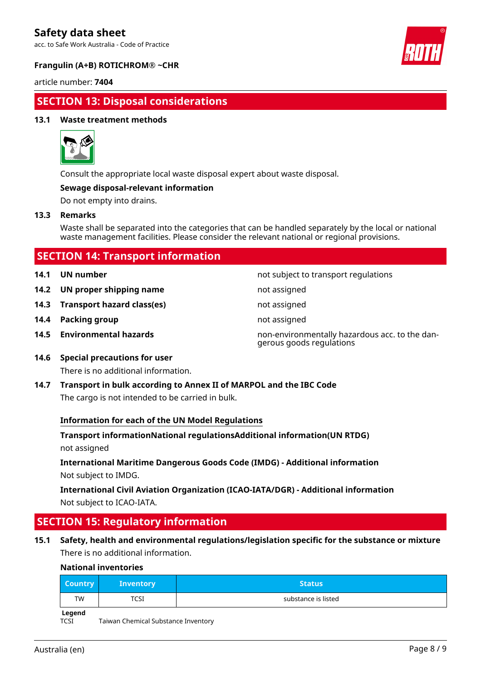acc. to Safe Work Australia - Code of Practice



#### **Frangulin (A+B) ROTICHROM® ~CHR**

article number: **7404**

### **SECTION 13: Disposal considerations**

#### **13.1 Waste treatment methods**



Consult the appropriate local waste disposal expert about waste disposal.

#### **Sewage disposal-relevant information**

Do not empty into drains.

#### **13.3 Remarks**

Waste shall be separated into the categories that can be handled separately by the local or national waste management facilities. Please consider the relevant national or regional provisions.

| <b>SECTION 14: Transport information</b> |  |
|------------------------------------------|--|
|                                          |  |

- 
- **14.2 UN proper shipping name** not assigned
- **14.3 Transport hazard class(es)** not assigned
- **14.4 Packing group not assigned not assigned**
- 

**14.1 UN number 14.1 UN** number

- 
- 
- 
- **14.5 Environmental hazards** non-environmentally hazardous acc. to the dangerous goods regulations
- **14.6 Special precautions for user** There is no additional information.
- **14.7 Transport in bulk according to Annex II of MARPOL and the IBC Code** The cargo is not intended to be carried in bulk.

#### **Information for each of the UN Model Regulations**

**Transport informationNational regulationsAdditional information(UN RTDG)** not assigned

**International Maritime Dangerous Goods Code (IMDG) - Additional information** Not subject to IMDG.

**International Civil Aviation Organization (ICAO-IATA/DGR) - Additional information** Not subject to ICAO-IATA.

## **SECTION 15: Regulatory information**

**15.1 Safety, health and environmental regulations/legislation specific for the substance or mixture** There is no additional information.

#### **National inventories**

| <b>Country</b> | <b>Inventory</b> | <b>Status</b>       |
|----------------|------------------|---------------------|
| TW             | <b>TCSI</b>      | substance is listed |
| المصطحبا       |                  |                     |

**Legend**

TCSI Taiwan Chemical Substance Inventory